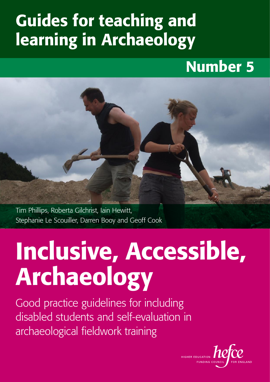# Guides for teaching and learning in Archaeology

# Number 5

Tim Phillips, Roberta Gilchrist, Iain Hewitt,

Stephanie Le Scouiller, Darren Booy and Geoff Cook

# Inclusive, Accessible, Archaeology

Good practice guidelines for including disabled students and self-evaluation in archaeological fieldwork training

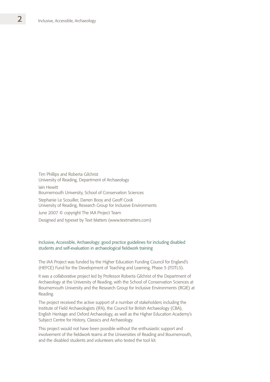Tim Phillips and Roberta Gilchrist University of Reading, Department of Archaeology Iain Hewitt Bournemouth University, School of Conservation Sciences Stephanie Le Scouiller, Darren Booy and Geoff Cook University of Reading, Research Group for Inclusive Environments June 2007 © copyright The IAA Project Team Designed and typeset by Text Matters (www.textmatters.com)

#### Inclusive, Accessible, Archaeology: good practice guidelines for including disabled students and self-evaluation in archaeological fieldwork training

The IAA Project was funded by the Higher Education Funding Council for England's (HEFCE) Fund for the Development of Teaching and Learning, Phase 5 (FDTL5).

It was a collaborative project led by Professor Roberta Gilchrist of the Department of Archaeology at the University of Reading, with the School of Conservation Sciences at Bournemouth University and the Research Group for Inclusive Environments (RGIE) at Reading.

The project received the active support of a number of stakeholders including the Institute of Field Archaeologists (IFA), the Council for British Archaeology (CBA), English Heritage and Oxford Archaeology, as well as the Higher Education Academy's Subject Centre for History, Classics and Archaeology.

This project would not have been possible without the enthusiastic support and involvement of the fieldwork teams at the Universities of Reading and Bournemouth, and the disabled students and volunteers who tested the tool kit.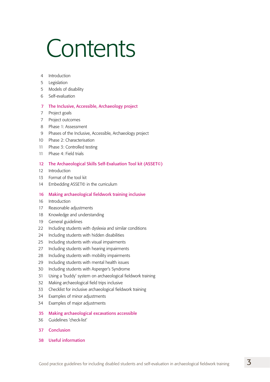# Contents

- Introduction
- Legislation
- Models of disability
- Self-evaluation

#### 7 The Inclusive, Accessible, Archaeology project

- Project goals
- Project outcomes
- Phase 1: Assessment
- Phases of the Inclusive, Accessible, Archaeology project
- Phase 2: Characterisation
- Phase 3: Controlled testing
- Phase 4: Field trials
- 12 The Archaeological Skills Self-Evaluation Tool kit (ASSET©)
- Introduction
- Format of the tool kit
- 14 Embedding ASSET© in the curriculum

#### 16 Making archaeological fieldwork training inclusive

- Introduction
- Reasonable adjustments
- Knowledge and understanding
- General guidelines
- Including students with dyslexia and similar conditions
- Including students with hidden disabilities
- Including students with visual impairments
- Including students with hearing impairments
- Including students with mobility impairments
- Including students with mental health issues
- Including students with Asperger's Syndrome
- Using a 'buddy' system on archaeological fieldwork training
- Making archaeological field trips inclusive
- Checklist for inclusive archaeological fieldwork training
- Examples of minor adjustments
- Examples of major adjustments
- 35 Making archaeological excavations accessible
- Guidelines 'check-list'
- 37 Conclusion
- 38 Useful information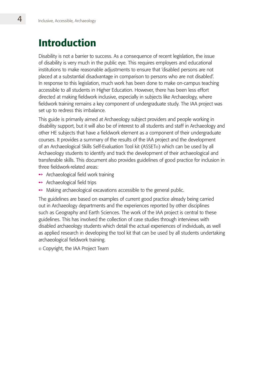# Introduction

Disability is not a barrier to success. As a consequence of recent legislation, the issue of disability is very much in the public eye. This requires employers and educational institutions to make reasonable adjustments to ensure that 'disabled persons are not placed at a substantial disadvantage in comparison to persons who are not disabled'. In response to this legislation, much work has been done to make on-campus teaching accessible to all students in Higher Education. However, there has been less effort directed at making fieldwork inclusive, especially in subjects like Archaeology, where fieldwork training remains a key component of undergraduate study. The IAA project was set up to redress this imbalance.

This guide is primarily aimed at Archaeology subject providers and people working in disability support, but it will also be of interest to all students and staff in Archaeology and other HE subjects that have a fieldwork element as a component of their undergraduate courses. It provides a summary of the results of the IAA project and the development of an Archaeological Skills Self-Evaluation Tool kit (ASSET<sup>®</sup>) which can be used by all Archaeology students to identify and track the development of their archaeological and transferable skills. This document also provides guidelines of good practice for inclusion in three fieldwork-related areas:

- $\rightarrow$  Archaeological field work training
- $\rightarrow$  Archaeological field trips
- $\rightarrow$  Making archaeological excavations accessible to the general public.

The guidelines are based on examples of current good practice already being carried out in Archaeology departments and the experiences reported by other disciplines such as Geography and Earth Sciences. The work of the IAA project is central to these guidelines. This has involved the collection of case studies through interviews with disabled archaeology students which detail the actual experiences of individuals, as well as applied research in developing the tool kit that can be used by all students undertaking archaeological fieldwork training.

Copyright, the IAA Project Team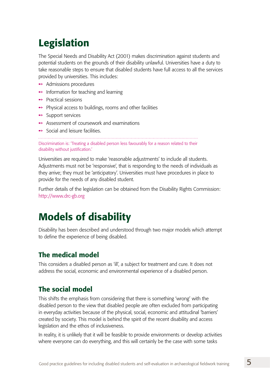# Legislation

The Special Needs and Disability Act (2001) makes discrimination against students and potential students on the grounds of their disability unlawful. Universities have a duty to take reasonable steps to ensure that disabled students have full access to all the services provided by universities. This includes:

- **→** Admissions procedures
- $\rightarrow$  Information for teaching and learning
- ← Practical sessions
- $\rightarrow$  Physical access to buildings, rooms and other facilities
- **→** Support services
- $\rightarrow$  Assessment of coursework and examinations
- $\rightarrow$  Social and leisure facilities.

Discrimination is: 'Treating a disabled person less favourably for a reason related to their disability without justification.'

Universities are required to make 'reasonable adjustments' to include all students. Adjustments must not be 'responsive', that is responding to the needs of individuals as they arrive; they must be 'anticipatory'. Universities must have procedures in place to provide for the needs of any disabled student.

Further details of the legislation can be obtained from the Disability Rights Commission: http://www.drc-gb.org

# Models of disability

Disability has been described and understood through two major models which attempt to define the experience of being disabled.

## The medical model

This considers a disabled person as 'ill', a subject for treatment and cure. It does not address the social, economic and environmental experience of a disabled person.

## The social model

This shifts the emphasis from considering that there is something 'wrong' with the disabled person to the view that disabled people are often excluded from participating in everyday activities because of the physical, social, economic and attitudinal 'barriers' created by society. This model is behind the spirit of the recent disability and access legislation and the ethos of inclusiveness.

In reality, it is unlikely that it will be feasible to provide environments or develop activities where everyone can do everything, and this will certainly be the case with some tasks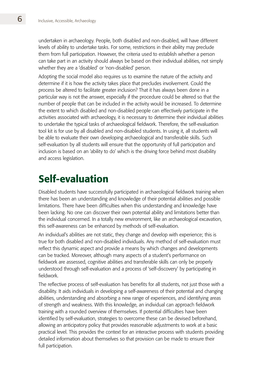undertaken in archaeology. People, both disabled and non-disabled, will have different levels of ability to undertake tasks. For some, restrictions in their ability may preclude them from full participation. However, the criteria used to establish whether a person can take part in an activity should always be based on their individual abilities, not simply whether they are a 'disabled' or 'non-disabled' person.

Adopting the social model also requires us to examine the nature of the activity and determine if it is how the activity takes place that precludes involvement. Could the process be altered to facilitate greater inclusion? That it has always been done in a particular way is not the answer, especially if the procedure could be altered so that the number of people that can be included in the activity would be increased. To determine the extent to which disabled and non-disabled people can effectively participate in the activities associated with archaeology, it is necessary to determine their individual abilities to undertake the typical tasks of archaeological fieldwork. Therefore, the self-evaluation tool kit is for use by all disabled and non-disabled students. In using it, all students will be able to evaluate their own developing archaeological and transferable skills. Such self-evaluation by all students will ensure that the opportunity of full participation and inclusion is based on an 'ability to do' which is the driving force behind most disability and access legislation.

## Self-evaluation

Disabled students have successfully participated in archaeological fieldwork training when there has been an understanding and knowledge of their potential abilities and possible limitations. There have been difficulties when this understanding and knowledge have been lacking. No one can discover their own potential ability and limitations better than the individual concerned. In a totally new environment, like an archaeological excavation, this self-awareness can be enhanced by methods of self-evaluation.

An individual's abilities are not static, they change and develop with experience; this is true for both disabled and non-disabled individuals. Any method of self-evaluation must reflect this dynamic aspect and provide a means by which changes and developments can be tracked. Moreover, although many aspects of a student's performance on fieldwork are assessed, cognitive abilities and transferable skills can only be properly understood through self-evaluation and a process of 'self-discovery' by participating in fieldwork.

The reflective process of self-evaluation has benefits for all students, not just those with a disability. It aids individuals in developing a self-awareness of their potential and changing abilities, understanding and absorbing a new range of experiences, and identifying areas of strength and weakness. With this knowledge, an individual can approach fieldwork training with a rounded overview of themselves. If potential difficulties have been identified by self-evaluation, strategies to overcome these can be devised beforehand, allowing an anticipatory policy that provides reasonable adjustments to work at a basic practical level. This provides the context for an interactive process with students providing detailed information about themselves so that provision can be made to ensure their full participation.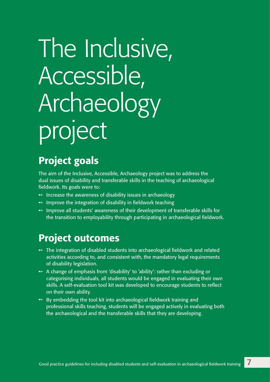# The Inclusive, Accessible, Archaeology project

# Project goals

The aim of the Inclusive, Accessible, Archaeology project was to address the dual issues of disability and transferable skills in the teaching of archaeological fieldwork. Its goals were to:

- $\rightarrow$  Increase the awareness of disability issues in archaeology
- $\rightarrow$  Improve the integration of disability in fieldwork teaching
- $\rightarrow$  Improve all students' awareness of their development of transferable skills for the transition to employability through participating in archaeological fieldwork.

## Project outcomes

- $\rightarrow$  The integration of disabled students into archaeological fieldwork and related activities according to, and consistent with, the mandatory legal requirements of disability legislation.
- $\rightarrow$  A change of emphasis from 'disability' to 'ability': rather than excluding or categorising individuals, all students would be engaged in evaluating their own skills. A self-evaluation tool kit was developed to encourage students to reflect on their own ability.
- $\rightarrow$  By embedding the tool kit into archaeological fieldwork training and professional skills teaching, students will be engaged actively in evaluating both the archaeological and the transferable skills that they are developing.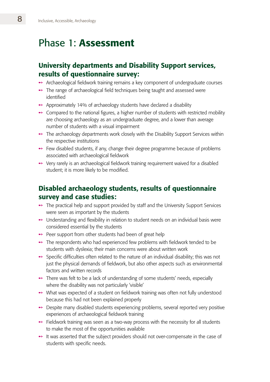## Phase 1: Assessment

## University departments and Disability Support services, results of questionnaire survey:

- **→** Archaeological fieldwork training remains a key component of undergraduate courses
- **→** The range of archaeological field techniques being taught and assessed were identified
- $\rightarrow$  Approximately 14% of archaeology students have declared a disability
- $\rightarrow$  Compared to the national figures, a higher number of students with restricted mobility are choosing archaeology as an undergraduate degree, and a lower than average number of students with a visual impairment
- $\rightarrow$  The archaeology departments work closely with the Disability Support Services within the respective institutions
- $\rightarrow$  Few disabled students, if any, change their degree programme because of problems associated with archaeological fieldwork
- $\rightarrow$  Very rarely is an archaeological fieldwork training requirement waived for a disabled student; it is more likely to be modified.

## Disabled archaeology students, results of questionnaire survey and case studies:

- **→** The practical help and support provided by staff and the University Support Services were seen as important by the students
- $\rightarrow$  Understanding and flexibility in relation to student needs on an individual basis were considered essential by the students
- $\rightarrow$  Peer support from other students had been of great help
- $\rightarrow$  The respondents who had experienced few problems with fieldwork tended to be students with dyslexia; their main concerns were about written work
- $\rightarrow$  Specific difficulties often related to the nature of an individual disability; this was not just the physical demands of fieldwork, but also other aspects such as environmental factors and written records
- ◆ There was felt to be a lack of understanding of some students' needs, especially where the disability was not particularly 'visible'
- **→** What was expected of a student on fieldwork training was often not fully understood because this had not been explained properly
- **→** Despite many disabled students experiencing problems, several reported very positive experiences of archaeological fieldwork training
- $\rightarrow$  Fieldwork training was seen as a two-way process with the necessity for all students to make the most of the opportunities available
- $\rightarrow$  It was asserted that the subject providers should not over-compensate in the case of students with specific needs.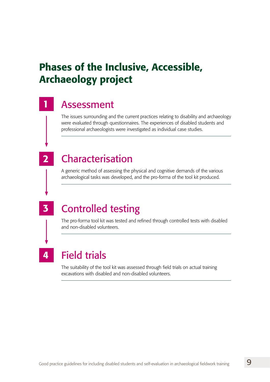# Phases of the Inclusive, Accessible, Archaeology project

## Assessment

The issues surrounding and the current practices relating to disability and archaeology were evaluated through questionnaires. The experiences of disabled students and professional archaeologists were investigated as individual case studies.

## Characterisation

A generic method of assessing the physical and cognitive demands of the various archaeological tasks was developed, and the pro-forma of the tool kit produced.

3

4

1

2

## Controlled testing

The pro-forma tool kit was tested and refined through controlled tests with disabled and non-disabled volunteers.

# Field trials

The suitability of the tool kit was assessed through field trials on actual training excavations with disabled and non-disabled volunteers.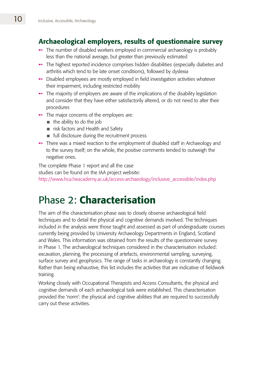## Archaeological employers, results of questionnaire survey

- $\rightarrow$  The number of disabled workers employed in commercial archaeology is probably less than the national average, but greater than previously estimated
- **→** The highest reported incidence comprises hidden disabilities (especially diabetes and arthritis which tend to be late onset conditions), followed by dyslexia
- $\rightarrow$  Disabled employees are mostly employed in field investigation activities whatever their impairment, including restricted mobility
- $\rightarrow$  The majority of employers are aware of the implications of the disability legislation and consider that they have either satisfactorily altered, or do not need to alter their procedures
- $\rightarrow$  The major concerns of the employers are:
	- $\blacksquare$  the ability to do the job
	- $\blacksquare$  risk factors and Health and Safety
	- $\blacksquare$  full disclosure during the recruitment process
- **→** There was a mixed reaction to the employment of disabled staff in Archaeology and to the survey itself; on the whole, the positive comments tended to outweigh the negative ones.

The complete Phase 1 report and all the case studies can be found on the IAA project website: http://www.hca.heacademy.ac.uk/access-archaeology/inclusive\_accessible/index.php

# Phase 2: Characterisation

The aim of the characterisation phase was to closely observe archaeological field techniques and to detail the physical and cognitive demands involved. The techniques included in the analysis were those taught and assessed as part of undergraduate courses currently being provided by University Archaeology Departments in England, Scotland and Wales. This information was obtained from the results of the questionnaire survey in Phase 1. The archaeological techniques considered in the characterisation included: excavation, planning, the processing of artefacts, environmental sampling, surveying, surface survey and geophysics. The range of tasks in archaeology is constantly changing. Rather than being exhaustive, this list includes the activities that are indicative of fieldwork training.

Working closely with Occupational Therapists and Access Consultants, the physical and cognitive demands of each archaeological task were established. This characterisation provided the 'norm': the physical and cognitive abilities that are required to successfully carry out these activities.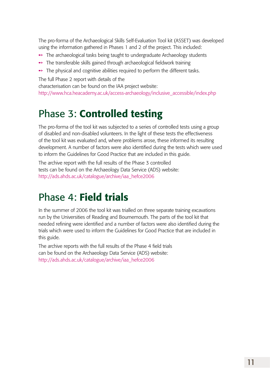The pro-forma of the Archaeological Skills Self-Evaluation Tool kit (ASSET) was developed using the information gathered in Phases 1 and 2 of the project. This included:

- **→** The archaeological tasks being taught to undergraduate Archaeology students
- $\rightarrow$  The transferable skills gained through archaeological fieldwork training
- $\rightarrow$  The physical and cognitive abilities required to perform the different tasks.

The full Phase 2 report with details of the

characterisation can be found on the IAA project website:

http://www.hca.heacademy.ac.uk/access-archaeology/inclusive\_accessible/index.php

# Phase 3: Controlled testing

The pro-forma of the tool kit was subjected to a series of controlled tests using a group of disabled and non-disabled volunteers. In the light of these tests the effectiveness of the tool kit was evaluated and, where problems arose, these informed its resulting development. A number of factors were also identified during the tests which were used to inform the Guidelines for Good Practice that are included in this guide.

The archive report with the full results of the Phase 3 controlled tests can be found on the Archaeology Data Service (ADS) website: http://ads.ahds.ac.uk/catalogue/archive/iaa\_hefce2006

# Phase 4: Field trials

In the summer of 2006 the tool kit was trialled on three separate training excavations run by the Universities of Reading and Bournemouth. The parts of the tool kit that needed refining were identified and a number of factors were also identified during the trials which were used to inform the Guidelines for Good Practice that are included in this guide.

The archive reports with the full results of the Phase 4 field trials can be found on the Archaeology Data Service (ADS) website: http://ads.ahds.ac.uk/catalogue/archive/iaa\_hefce2006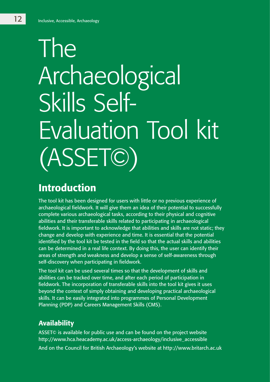# The Archaeological Skills Self-Evaluation Tool kit (ASSET©)

## Introduction

The tool kit has been designed for users with little or no previous experience of archaeological fieldwork. It will give them an idea of their potential to successfully complete various archaeological tasks, according to their physical and cognitive abilities and their transferable skills related to participating in archaeological fieldwork. It is important to acknowledge that abilities and skills are not static; they change and develop with experience and time. It is essential that the potential identified by the tool kit be tested in the field so that the actual skills and abilities can be determined in a real life context. By doing this, the user can identify their areas of strength and weakness and develop a sense of self-awareness through self-discovery when participating in fieldwork.

The tool kit can be used several times so that the development of skills and abilities can be tracked over time, and after each period of participation in fieldwork. The incorporation of transferable skills into the tool kit gives it uses beyond the context of simply obtaining and developing practical archaeological skills. It can be easily integrated into programmes of Personal Development Planning (PDP) and Careers Management Skills (CMS).

## Availability

ASSET© is available for public use and can be found on the project website http://www.hca.heacademy.ac.uk/access-archaeology/inclusive\_accessible And on the Council for British Archaeology's website at http://www.britarch.ac.uk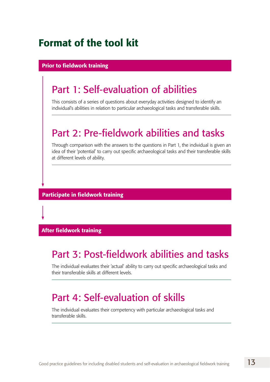# Format of the tool kit

#### Prior to fieldwork training

## Part 1: Self-evaluation of abilities

This consists of a series of questions about everyday activities designed to identify an individual's abilities in relation to particular archaeological tasks and transferable skills.

## Part 2: Pre-fieldwork abilities and tasks

Through comparison with the answers to the questions in Part 1, the individual is given an idea of their 'potential' to carry out specific archaeological tasks and their transferable skills at different levels of ability.

Participate in fieldwork training

#### After fieldwork training

## Part 3: Post-fieldwork abilities and tasks

The individual evaluates their 'actual' ability to carry out specific archaeological tasks and their transferable skills at different levels.

## Part 4: Self-evaluation of skills

The individual evaluates their competency with particular archaeological tasks and transferable skills.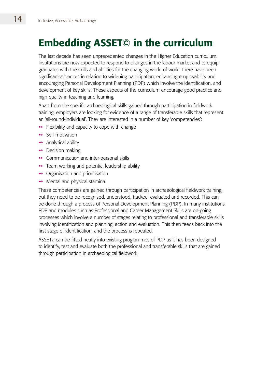# Embedding ASSET© in the curriculum

The last decade has seen unprecedented changes in the Higher Education curriculum. Institutions are now expected to respond to changes in the labour market and to equip graduates with the skills and abilities for the changing world of work. There have been significant advances in relation to widening participation, enhancing employability and encouraging Personal Development Planning (PDP) which involve the identification, and development of key skills. These aspects of the curriculum encourage good practice and high quality in teaching and learning.

Apart from the specific archaeological skills gained through participation in fieldwork training, employers are looking for evidence of a range of transferable skills that represent an 'all-round-individual'. They are interested in a number of key 'competencies':

- $\rightarrow$  Flexibility and capacity to cope with change
- $\rightarrow$  Self-motivation
- $\rightarrow$  Analytical ability
- $\rightarrow$  Decision making
- $\rightarrow$  Communication and inter-personal skills
- $\rightarrow$  Team working and potential leadership ability
- $\rightarrow$  Organisation and prioritisation
- $\rightarrow$  Mental and physical stamina.

These competencies are gained through participation in archaeological fieldwork training, but they need to be recognised, understood, tracked, evaluated and recorded. This can be done through a process of Personal Development Planning (PDP). In many institutions PDP and modules such as Professional and Career Management Skills are on-going processes which involve a number of stages relating to professional and transferable skills involving identification and planning, action and evaluation. This then feeds back into the first stage of identification, and the process is repeated.

ASSET<sup>®</sup> can be fitted neatly into existing programmes of PDP as it has been designed to identify, test and evaluate both the professional and transferable skills that are gained through participation in archaeological fieldwork.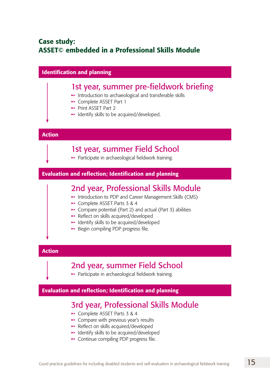## Case study: ASSET© embedded in a Professional Skills Module

| <b>Identification and planning</b>                            |                                                                                                                                                                                                                                                                                                                                                    |
|---------------------------------------------------------------|----------------------------------------------------------------------------------------------------------------------------------------------------------------------------------------------------------------------------------------------------------------------------------------------------------------------------------------------------|
|                                                               | 1st year, summer pre-fieldwork briefing<br>Introduction to archaeological and transferable skills<br>→ Complete ASSET Part 1<br>→ Print ASSET Part 2<br>• Identify skills to be acquired/developed.                                                                                                                                                |
| <b>Action</b>                                                 |                                                                                                                                                                                                                                                                                                                                                    |
|                                                               | 1st year, summer Field School<br>→ Participate in archaeological fieldwork training.                                                                                                                                                                                                                                                               |
| <b>Evaluation and reflection; Identification and planning</b> |                                                                                                                                                                                                                                                                                                                                                    |
|                                                               | 2nd year, Professional Skills Module<br>Introduction to PDP and Career Management Skills (CMS)<br>→ Complete ASSET Parts 3 & 4<br>$\rightarrow$ Compare potential (Part 2) and actual (Part 3) abilities<br>Reflect on skills acquired/developed<br>→ Identify skills to be acquired/developed<br>$\rightarrow$ Begin compiling PDP progress file. |
| <b>Action</b>                                                 |                                                                                                                                                                                                                                                                                                                                                    |
|                                                               | 2nd year, summer Field School<br>→ Participate in archaeological fieldwork training.                                                                                                                                                                                                                                                               |
| <b>Evaluation and reflection; Identification and planning</b> |                                                                                                                                                                                                                                                                                                                                                    |
|                                                               | 3rd year, Professional Skills Module<br>→ Complete ASSET Parts 3 & 4<br>• Compare with previous year's results<br>Reflect on skills acquired/developed<br>→ Identify skills to be acquired/developed<br>$\rightarrow$ Continue compiling PDP progress file.                                                                                        |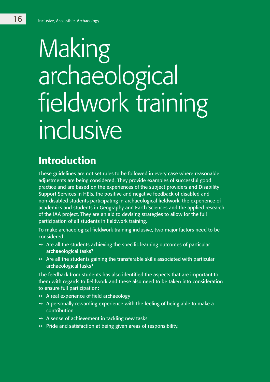# Making archaeological fieldwork training inclusive

# Introduction

These guidelines are not set rules to be followed in every case where reasonable adjustments are being considered. They provide examples of successful good practice and are based on the experiences of the subject providers and Disability Support Services in HEIs, the positive and negative feedback of disabled and non-disabled students participating in archaeological fieldwork, the experience of academics and students in Geography and Earth Sciences and the applied research of the IAA project. They are an aid to devising strategies to allow for the full participation of all students in fieldwork training.

To make archaeological fieldwork training inclusive, two major factors need to be considered:

- $\rightarrow$  Are all the students achieving the specific learning outcomes of particular archaeological tasks?
- $\rightarrow$  Are all the students gaining the transferable skills associated with particular archaeological tasks?

The feedback from students has also identified the aspects that are important to them with regards to fieldwork and these also need to be taken into consideration to ensure full participation:

- $\rightarrow$  A real experience of field archaeology
- $\rightarrow$  A personally rewarding experience with the feeling of being able to make a contribution
- $\rightarrow$  A sense of achievement in tackling new tasks
- $\rightarrow$  Pride and satisfaction at being given areas of responsibility.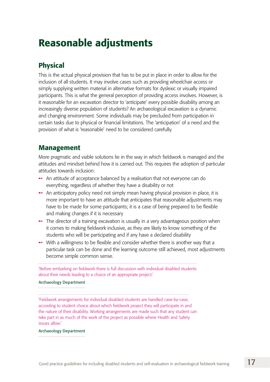# Reasonable adjustments

## Physical

This is the actual physical provision that has to be put in place in order to allow for the inclusion of all students. It may involve cases such as providing wheelchair access or simply supplying written material in alternative formats for dyslexic or visually impaired participants. This is what the general perception of providing access involves. However, is it reasonable for an excavation director to 'anticipate' every possible disability among an increasingly diverse population of students? An archaeological excavation is a dynamic and changing environment. Some individuals may be precluded from participation in certain tasks due to physical or financial limitations. The 'anticipation' of a need and the provision of what is 'reasonable' need to be considered carefully.

## Management

More pragmatic and viable solutions lie in the way in which fieldwork is managed and the attitudes and mindset behind how it is carried out. This requires the adoption of particular attitudes towards inclusion:

- $\rightarrow$  An attitude of acceptance balanced by a realisation that not everyone can do everything, regardless of whether they have a disability or not
- $\rightarrow$  An anticipatory policy need not simply mean having physical provision in place, it is more important to have an attitude that anticipates that reasonable adjustments may have to be made for some participants; it is a case of being prepared to be flexible and making changes if it is necessary
- $\rightarrow$  The director of a training excavation is usually in a very advantageous position when it comes to making fieldwork inclusive, as they are likely to know something of the students who will be participating and if any have a declared disability
- $\rightarrow$  With a willingness to be flexible and consider whether there is another way that a particular task can be done and the learning outcome still achieved, most adjustments become simple common sense.

'Before embarking on fieldwork there is full discussion with individual disabled students about their needs leading to a choice of an appropriate project.'

#### Archaeology Department

'Fieldwork arrangements for individual disabled students are handled case-by-case, according to student choice about which fieldwork project they will participate in and the nature of their disability. Working arrangements are made such that any student can take part in as much of the work of the project as possible where Health and Safety issues allow.'

#### Archaeology Department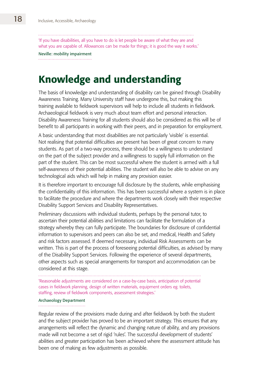'If you have disabilities, all you have to do is let people be aware of what they are and what you are capable of. Allowances can be made for things; it is good the way it works.'

Neville: mobility impairment 

## Knowledge and understanding

The basis of knowledge and understanding of disability can be gained through Disability Awareness Training. Many University staff have undergone this, but making this training available to fieldwork supervisors will help to include all students in fieldwork. Archaeological fieldwork is very much about team effort and personal interaction. Disability Awareness Training for all students should also be considered as this will be of benefit to all participants in working with their peers, and in preparation for employment.

A basic understanding that most disabilities are not particularly 'visible' is essential. Not realising that potential difficulties are present has been of great concern to many students. As part of a two-way process, there should be a willingness to understand on the part of the subject provider and a willingness to supply full information on the part of the student. This can be most successful where the student is armed with a full self-awareness of their potential abilities. The student will also be able to advise on any technological aids which will help in making any provision easier.

It is therefore important to encourage full disclosure by the students, while emphasising the confidentiality of this information. This has been successful where a system is in place to facilitate the procedure and where the departments work closely with their respective Disability Support Services and Disability Representatives.

Preliminary discussions with individual students, perhaps by the personal tutor, to ascertain their potential abilities and limitations can facilitate the formulation of a strategy whereby they can fully participate. The boundaries for disclosure of confidential information to supervisors and peers can also be set, and medical, Health and Safety and risk factors assessed. If deemed necessary, individual Risk Assessments can be written. This is part of the process of foreseeing potential difficulties, as advised by many of the Disability Support Services. Following the experience of several departments, other aspects such as special arrangements for transport and accommodation can be considered at this stage.

'Reasonable adjustments are considered on a case-by-case basis, anticipation of potential cases in fieldwork planning, design of written materials, equipment orders eg. toilets, staffing, review of fieldwork components, assessment strategies.'

#### Archaeology Department

Regular review of the provisions made during and after fieldwork by both the student and the subject provider has proved to be an important strategy. This ensures that any arrangements will reflect the dynamic and changing nature of ability, and any provisions made will not become a set of rigid 'rules'. The successful development of students' abilities and greater participation has been achieved where the assessment attitude has been one of making as few adjustments as possible.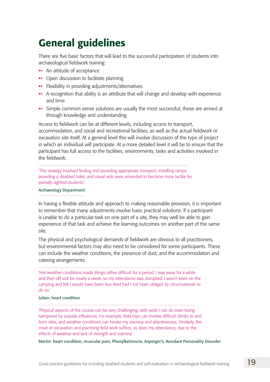# General guidelines

There are five basic factors that will lead to the successful participation of students into archaeological fieldwork training:

- $\rightarrow$  An attitude of acceptance
- $\rightarrow$  Open discussion to facilitate planning
- $\rightarrow$  Flexibility in providing adjustments/alternatives
- $\rightarrow$  A recognition that ability is an attribute that will change and develop with experience and time
- $\rightarrow$  Simple common sense solutions are usually the most successful; these are arrived at through knowledge and understanding.

Access to fieldwork can be at different levels, including access to transport, accommodation, and social and recreational facilities, as well as the actual fieldwork or excavation site itself. At a general level this will involve discussion of the type of project in which an individual will participate. At a more detailed level it will be to ensure that the participant has full access to the facilities, environments, tasks and activities involved in the fieldwork.

'The strategy involved finding and providing appropriate transport, installing ramps,

providing a disabled toilet, and visual aids were amended to become more tactile for partially sighted students.'

#### Archaeology Department

In having a flexible attitude and approach to making reasonable provision, it is important to remember that many adjustments involve basic practical solutions. If a participant is unable to do a particular task on one part of a site, they may well be able to gain experience of that task and achieve the learning outcomes on another part of the same site.

The physical and psychological demands of fieldwork are obvious to all practitioners, but environmental factors may also need to be considered for some participants. These can include the weather conditions, the presence of dust, and the accommodation and catering arrangements.

'Hot weather conditions made things rather difficult for a period. I was away for a while and then off sick for nearly a week, so my attendance was disrupted. I wasn't keen on the camping and felt I would have been less tired had I not been obliged by circumstances to do so.'

#### Julian: heart condition

'Physical aspects of the course can be very challenging, with work I can do even being hampered by outside influences. For example, field trips can involve difficult climbs to and from sites, and weather conditions can hinder my stamina and attentiveness. Similarly, the meat of excavation and practising field work suffers, as does my attendance, due to the effects of weather and lack of strength and stamina.'

Martin: heart condition, muscular pain, Phenylketonuria, Asperger's, Avoidant Personality Disorder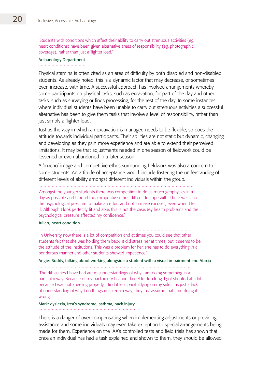'Students with conditions which affect their ability to carry out strenuous activities (eg. heart conditions) have been given alternative areas of responsibility (eg. photographic coverage), rather than just a 'lighter load.'

#### Archaeology Department

Physical stamina is often cited as an area of difficulty by both disabled and non-disabled students. As already noted, this is a dynamic factor that may decrease, or sometimes even increase, with time. A successful approach has involved arrangements whereby some participants do physical tasks, such as excavation, for part of the day and other tasks, such as surveying or finds processing, for the rest of the day. In some instances where individual students have been unable to carry out strenuous activities a successful alternative has been to give them tasks that involve a level of responsibility, rather than just simply a 'lighter load'.

Just as the way in which an excavation is managed needs to be flexible, so does the attitude towards individual participants. Their abilities are not static but dynamic, changing and developing as they gain more experience and are able to extend their perceived limitations. It may be that adjustments needed in one season of fieldwork could be lessened or even abandoned in a later season.

A 'macho' image and competitive ethos surrounding fieldwork was also a concern to some students. An attitude of acceptance would include fostering the understanding of different levels of ability amongst different individuals within the group.

'Amongst the younger students there was competition to do as much geophysics in a day as possible and I found this competitive ethos difficult to cope with. There was also the psychological pressure to make an effort and not to make excuses, even when I felt ill. Although I look perfectly fit and able, this is not the case. My health problems and the psychological pressure affected my confidence.'

#### Julian; heart condition

'In University now there is a lot of competition and at times you could see that other students felt that she was holding them back. It did stress her at times, but it seems to be the attitude of the Institutions. This was a problem for her, she has to do everything in a ponderous manner and other students showed impatience.'

Angie: Buddy, talking about working alongside a student with a visual impairment and Ataxia

'The difficulties I have had are misunderstandings of why I am doing something in a particular way. Because of my back injury I cannot kneel for too long. I got shouted at a lot because I was not kneeling properly. I find it less painful lying on my side. It is just a lack of understanding of why I do things in a certain way; they just assume that I am doing it wrong.'

#### Mark: dyslexia, Irea's syndrome, asthma, back injury

There is a danger of over-compensating when implementing adjustments or providing assistance and some individuals may even take exception to special arrangements being made for them. Experience on the IAA's controlled tests and field trials has shown that once an individual has had a task explained and shown to them, they should be allowed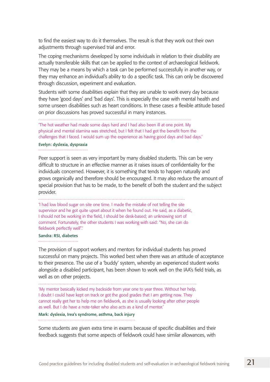to find the easiest way to do it themselves. The result is that they work out their own adjustments through supervised trial and error.

The coping mechanisms developed by some individuals in relation to their disability are actually transferable skills that can be applied to the context of archaeological fieldwork. They may be a means by which a task can be performed successfully in another way, or they may enhance an individual's ability to do a specific task. This can only be discovered through discussion, experiment and evaluation.

Students with some disabilities explain that they are unable to work every day because they have 'good days' and 'bad days'. This is especially the case with mental health and some unseen disabilities such as heart conditions. In these cases a flexible attitude based on prior discussions has proved successful in many instances.

'The hot weather had made some days hard and I had also been ill at one point. My physical and mental stamina was stretched, but I felt that I had got the benefit from the challenges that I faced. I would sum up the experience as having good days and bad days.'

#### Evelyn: dyslexia, dyspraxia

Peer support is seen as very important by many disabled students. This can be very difficult to structure in an effective manner as it raises issues of confidentiality for the individuals concerned. However, it is something that tends to happen naturally and grows organically and therefore should be encouraged. It may also reduce the amount of special provision that has to be made, to the benefit of both the student and the subject provider.

'I had low blood sugar on site one time. I made the mistake of not telling the site supervisor and he got quite upset about it when he found out. He said, as a diabetic, I should not be working in the field, I should be desk-based; an unknowing sort of comment. Fortunately, the other students I was working with said: "No, she can do fieldwork perfectly well".'

#### Sandra: RSI, diabetes

The provision of support workers and mentors for individual students has proved successful on many projects. This worked best when there was an attitude of acceptance to their presence. The use of a 'buddy' system, whereby an experienced student works alongside a disabled participant, has been shown to work well on the IAA's field trials, as well as on other projects.

'My mentor basically kicked my backside from year one to year three. Without her help, I doubt I could have kept on track or got the good grades that I am getting now. They cannot really get her to help me on fieldwork, as she is usually looking after other people as well. But I do have a note-taker who also acts as a kind of mentor.'

Mark: dyslexia, Irea's syndrome, asthma, back injury

Some students are given extra time in exams because of specific disabilities and their feedback suggests that some aspects of fieldwork could have similar allowances, with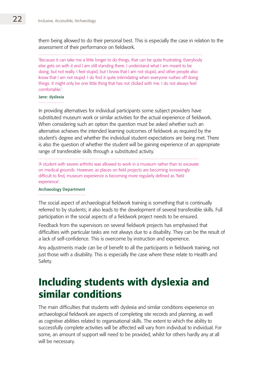them being allowed to do their personal best. This is especially the case in relation to the assessment of their performance on fieldwork.

'Because it can take me a little longer to do things, that can be quite frustrating. Everybody else gets on with it and I am still standing there. I understand what I am meant to be doing, but not really. I feel stupid, but I know that I am not stupid, and other people also know that I am not stupid. I do find it quite intimidating when everyone rushes off doing things. It might only be one little thing that has not clicked with me. I do not always feel comfortable.'

#### Jane: dyslexia

In providing alternatives for individual participants some subject providers have substituted museum work or similar activities for the actual experience of fieldwork. When considering such an option the question must be asked whether such an alternative achieves the intended learning outcomes of fieldwork as required by the student's degree and whether the individual student expectations are being met. There is also the question of whether the student will be gaining experience of an appropriate range of transferable skills through a substituted activity.

'A student with severe arthritis was allowed to work in a museum rather than to excavate on medical grounds. However, as places on field projects are becoming increasingly difficult to find, museum experience is becoming more regularly defined as 'field experience'.

#### Archaeology Department

The social aspect of archaeological fieldwork training is something that is continually referred to by students; it also leads to the development of several transferable skills. Full participation in the social aspects of a fieldwork project needs to be ensured.

Feedback from the supervisors on several fieldwork projects has emphasised that difficulties with particular tasks are not always due to a disability. They can be the result of a lack of self-confidence. This is overcome by instruction and experience.

Any adjustments made can be of benefit to all the participants in fieldwork training, not just those with a disability. This is especially the case where these relate to Health and Safety.

# Including students with dyslexia and similar conditions

The main difficulties that students with dyslexia and similar conditions experience on archaeological fieldwork are aspects of completing site records and planning, as well as cognitive abilities related to organisational skills. The extent to which the ability to successfully complete activities will be affected will vary from individual to individual. For some, an amount of support will need to be provided, whilst for others hardly any at all will be necessary.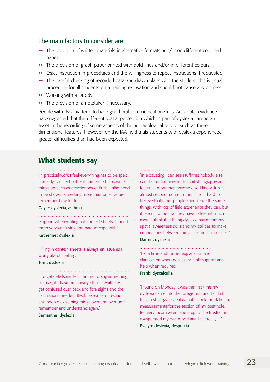#### The main factors to consider are:

- **→** The provision of written materials in alternative formats and/or on different coloured paper
- $\rightarrow$  The provision of graph paper printed with bold lines and/or in different colours
- $\rightarrow$  Exact instruction in procedures and the willingness to repeat instructions if requested
- $\rightarrow$  The careful checking of recorded data and drawn plans with the student; this is usual procedure for all students on a training excavation and should not cause any distress
- $\rightarrow$  Working with a 'buddy'
- $\rightarrow$  The provision of a notetaker if necessary.

People with dyslexia tend to have good oral communication skills. Anecdotal evidence has suggested that the different spatial perception which is part of dyslexia can be an asset in the recording of some aspects of the archaeological record, such as threedimensional features. However, on the IAA field trials students with dyslexia experienced greater difficulties than had been expected.

### What students say

'In practical work I feel everything has to be spelt correctly, so I feel better if someone helps write things up such as descriptions of finds. I also need to be shown something more than once before I remember how to do it.'

Gayle: dyslexia, asthma

'Support when writing out context sheets, I found them very confusing and hard to cope with.'

#### Katherine: dyslexia

'Filling in context sheets is always an issue as I worry about spelling.'

#### Tom: dyslexia

'I forget details easily if I am not doing something; such as, if I have not surveyed for a while I will get confused over back and fore sights and the calculations needed. It will take a lot of revision and people explaining things over and over until I remember and understand again.'

#### Samantha: dyslexia

'In excavating I can see stuff that nobody else can; like differences in the soil stratigraphy and features, more than anyone else I know. It is almost second nature to me. I find it hard to believe that other people cannot see the same things. With lots of field experience they can, but it seems to me that they have to learn it much more. I think that being dyslexic has meant my spatial awareness skills and my abilities to make connections between things are much increased.'

#### Darren: dyslexia

'Extra time and further explanation and clarification when necessary, staff support and help when required.'

#### Frank: dyscalculia

'I found on Monday it was the first time my dyslexia came into the foreground and I didn't have a strategy to deal with it. I could not take the measurements for the section of my post hole. I felt very incompetent and stupid. The frustration exasperated my bad mood and I felt really ill.' Evelyn: dyslexia, dyspraxia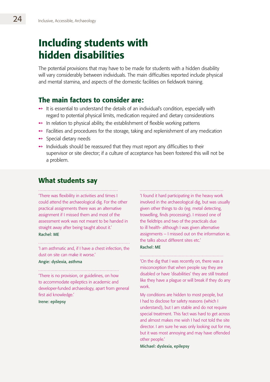# Including students with hidden disabilities

The potential provisions that may have to be made for students with a hidden disability will vary considerably between individuals. The main difficulties reported include physical and mental stamina, and aspects of the domestic facilities on fieldwork training.

### The main factors to consider are:

- $\rightarrow$  It is essential to understand the details of an individual's condition, especially with regard to potential physical limits, medication required and dietary considerations
- $\rightarrow$  In relation to physical ability, the establishment of flexible working patterns
- $\rightarrow$  Facilities and procedures for the storage, taking and replenishment of any medication
- $\rightarrow$  Special dietary needs
- $\rightarrow$  Individuals should be reassured that they must report any difficulties to their supervisor or site director; if a culture of acceptance has been fostered this will not be a problem.

### What students say

'There was flexibility in activities and times I could attend the archaeological dig. For the other practical assignments there was an alternative assignment if I missed them and most of the assessment work was not meant to be handed in straight away after being taught about it.'

#### Rachel: ME

'I am asthmatic and, if I have a chest infection, the dust on site can make it worse.'

#### Angie: dyslexia, asthma

'There is no provision, or guidelines, on how to accommodate epileptics in academic and developer-funded archaeology, apart from general first aid knowledge.'

Irene: epilepsy

'I found it hard participating in the heavy work involved in the archaeological dig, but was usually given other things to do (eg. metal detecting, trowelling, finds processing). I missed one of the fieldtrips and two of the practicals due to ill health- although I was given alternative assignments – I missed out on the information ie. the talks about different sites etc.'

#### Rachel: ME

#### 

'On the dig that I was recently on, there was a misconception that when people say they are disabled or have 'disabilities' they are still treated like they have a plague or will break if they do any work.

My conditions are hidden to most people, but I had to disclose for safety reasons (which I understand), but I am stable and do not require special treatment. This fact was hard to get across and almost makes me wish I had not told the site director. I am sure he was only looking out for me, but it was most annoying and may have offended other people.'

Michael: dyslexia, epilepsy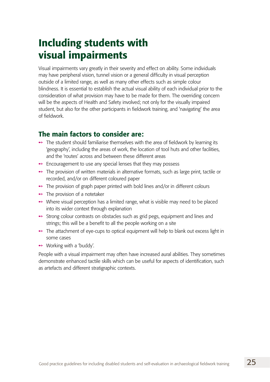# Including students with visual impairments

Visual impairments vary greatly in their severity and effect on ability. Some individuals may have peripheral vision, tunnel vision or a general difficulty in visual perception outside of a limited range, as well as many other effects such as simple colour blindness. It is essential to establish the actual visual ability of each individual prior to the consideration of what provision may have to be made for them. The overriding concern will be the aspects of Health and Safety involved; not only for the visually impaired student, but also for the other participants in fieldwork training, and 'navigating' the area of fieldwork.

## The main factors to consider are:

- $\rightarrow$  The student should familiarise themselves with the area of fieldwork by learning its 'geography', including the areas of work, the location of tool huts and other facilities, and the 'routes' across and between these different areas
- $\rightarrow$  Encouragement to use any special lenses that they may possess
- $\rightarrow$  The provision of written materials in alternative formats, such as large print, tactile or recorded, and/or on different coloured paper
- $\rightarrow$  The provision of graph paper printed with bold lines and/or in different colours
- $\rightarrow$  The provision of a notetaker
- $\rightarrow$  Where visual perception has a limited range, what is visible may need to be placed into its wider context through explanation
- Strong colour contrasts on obstacles such as grid pegs, equipment and lines and strings; this will be a benefit to all the people working on a site
- $\rightarrow$  The attachment of eye-cups to optical equipment will help to blank out excess light in some cases
- $\rightarrow$  Working with a 'buddy'.

People with a visual impairment may often have increased aural abilities. They sometimes demonstrate enhanced tactile skills which can be useful for aspects of identification, such as artefacts and different stratigraphic contexts.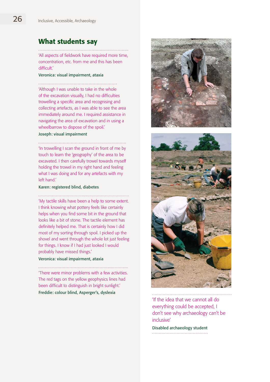## What students say

'All aspects of fieldwork have required more time, concentration, etc. from me and this has been difficult.'

#### Veronica: visual impairment, ataxia

'Although I was unable to take in the whole of the excavation visually, I had no difficulties trowelling a specific area and recognising and collecting artefacts, as I was able to see the area immediately around me. I required assistance in navigating the area of excavation and in using a wheelbarrow to dispose of the spoil.'

#### Joseph: visual impairment

'In trowelling I scan the ground in front of me by touch to learn the 'geography' of the area to be excavated. I then carefully trowel towards myself holding the trowel in my right hand and feeling what I was doing and for any artefacts with my left hand.'

#### Karen: registered blind, diabetes

'My tactile skills have been a help to some extent. I think knowing what pottery feels like certainly helps when you find some bit in the ground that looks like a bit of stone. The tactile element has definitely helped me. That is certainly how I did most of my sorting through spoil. I picked up the shovel and went through the whole lot just feeling for things. I know if I had just looked I would probably have missed things.'

#### Veronica: visual impairment, ataxia

'There were minor problems with a few activities. The red tags on the yellow geophysics lines had been difficult to distinguish in bright sunlight.' Freddie: colour blind, Asperger's, dyslexia





'If the idea that we cannot all do everything could be accepted, I don't see why archaeology can't be inclusive'

Disabled archaeology student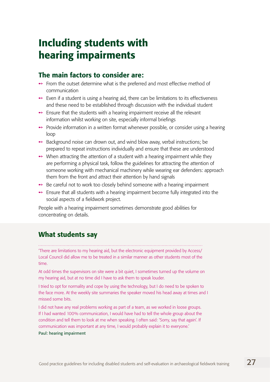# Including students with hearing impairments

## The main factors to consider are:

- $\rightarrow$  From the outset determine what is the preferred and most effective method of communication
- $\rightarrow$  Even if a student is using a hearing aid, there can be limitations to its effectiveness and these need to be established through discussion with the individual student
- $\rightarrow$  Ensure that the students with a hearing impairment receive all the relevant information whilst working on site, especially informal briefings
- $\rightarrow$  Provide information in a written format whenever possible, or consider using a hearing loop
- $\rightarrow$  Background noise can drown out, and wind blow away, verbal instructions; be prepared to repeat instructions individually and ensure that these are understood
- $\rightarrow$  When attracting the attention of a student with a hearing impairment while they are performing a physical task, follow the guidelines for attracting the attention of someone working with mechanical machinery while wearing ear defenders: approach them from the front and attract their attention by hand signals
- $\rightarrow$  Be careful not to work too closely behind someone with a hearing impairment
- $\rightarrow$  Ensure that all students with a hearing impairment become fully integrated into the social aspects of a fieldwork project.

People with a hearing impairment sometimes demonstrate good abilities for concentrating on details.

## What students say

'There are limitations to my hearing aid, but the electronic equipment provided by Access/ Local Council did allow me to be treated in a similar manner as other students most of the time.

At odd times the supervisors on site were a bit quiet, I sometimes turned up the volume on my hearing aid, but at no time did I have to ask them to speak louder.

I tried to opt for normality and cope by using the technology, but I do need to be spoken to the face more. At the weekly site summaries the speaker moved his head away at times and I missed some bits.

I did not have any real problems working as part of a team, as we worked in loose groups. If I had wanted 100% communication, I would have had to tell the whole group about the condition and tell them to look at me when speaking. I often said: 'Sorry, say that again'. If communication was important at any time, I would probably explain it to everyone.'

#### Paul: hearing impairment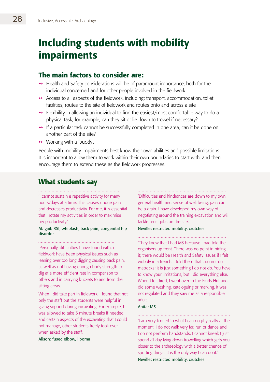# Including students with mobility impairments

### The main factors to consider are:

- $\rightarrow$  Health and Safety considerations will be of paramount importance, both for the individual concerned and for other people involved in the fieldwork
- $\rightarrow$  Access to all aspects of the fieldwork, including: transport, accommodation, toilet facilities, routes to the site of fieldwork and routes onto and across a site
- $\rightarrow$  Flexibility in allowing an individual to find the easiest/most comfortable way to do a physical task; for example, can they sit or lie down to trowel if necessary?
- $\rightarrow$  If a particular task cannot be successfully completed in one area, can it be done on another part of the site?
- $\rightarrow$  Working with a 'buddy'.

People with mobility impairments best know their own abilities and possible limitations. It is important to allow them to work within their own boundaries to start with, and then encourage them to extend these as the fieldwork progresses.

## What students say

'I cannot sustain a repetitive activity for many hours/days at a time. This causes undue pain and decreases productivity. For me, it is essential that I rotate my activities in order to maximise my productivity.'

#### Abigail: RSI, whiplash, back pain, congenital hip disorder

'Personally, difficulties I have found within fieldwork have been physical issues such as leaning over too long digging causing back pain, as well as not having enough body strength to dig at a more efficient rate in comparison to others and in carrying buckets to and from the sifting areas.

When I did take part in fieldwork, I found that not only the staff but the students were helpful in giving support during excavating. For example, I was allowed to take 5 minute breaks if needed and certain aspects of the excavating that I could not manage, other students freely took over when asked by the staff.'

Alison: fused elbow, lipoma

'Difficulties and hindrances are down to my own general health and sense of well being, pain can be a drain. I have developed my own way of negotiating around the training excavation and will tackle most jobs on the site.'

Neville: restricted mobility, crutches

'They knew that I had MS because I had told the organisers up front. There was no point in hiding it; there would be Health and Safety issues if I felt wobbly in a trench. I told them that I do not do mattocks; it is just something I do not do. You have to know your limitations, but I did everything else. When I felt tired, I went over to the Finds Hut and did some washing, cataloguing or marking. It was not regulated and they saw me as a responsible adult.'

#### Anita: MS

'I am very limited to what I can do physically at the moment. I do not walk very far, run or dance and I do not perform handstands. I cannot kneel; I just spend all day lying down trowelling which gets you closer to the archaeology with a better chance of spotting things. It is the only way I can do it.' Neville: restricted mobility, crutches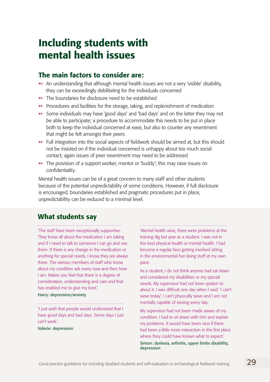# Including students with mental health issues

## The main factors to consider are:

- $\rightarrow$  An understanding that although mental health issues are not a very 'visible' disability, they can be exceedingly debilitating for the individuals concerned
- $\rightarrow$  The boundaries for disclosure need to be established
- $\rightarrow$  Procedures and facilities for the storage, taking, and replenishment of medication
- $\rightarrow$  Some individuals may have 'good days' and 'bad days' and on the latter they may not be able to participate; a procedure to accommodate this needs to be put in place both to keep the individual concerned at ease, but also to counter any resentment that might be felt amongst their peers
- $\rightarrow$  Full integration into the social aspects of fieldwork should be aimed at, but this should not be insisted on if the individual concerned is unhappy about too much social contact; again issues of peer resentment may need to be addressed
- The provision of a support worker, mentor or 'buddy'; this may raise issues on confidentiality.

Mental health issues can be of a great concern to many staff and other students because of the potential unpredictability of some conditions. However, if full disclosure is encouraged, boundaries established and pragmatic procedures put in place, unpredictability can be reduced to a minimal level.

## What students say

'The staff have been exceptionally supportive. They know all about the medication I am taking and if I need to talk to someone I can go and see them. If there is any change in the medication or anything for special needs, I know they are always there. The various members of staff who know about my condition ask every now and then how I am. Makes you feel that there is a degree of consideration, understanding and care and that has enabled me to give my best.'

#### Harry: depression/anxiety

'I just wish that people would understand that I have good days and bad days. Some days I just can't work.'

Valerie: depression

'Mental health wise, there were problems at the training dig last year as a student. I was not in the best physical health or mental health. I had become a regular face getting involved sitting in the environmental hut doing stuff at my own pace.

As a student, I do not think anyone had sat down and considered my disabilities or my special needs. My supervisor had not been spoken to about it. I was difficult one day when I said: 'I can't sieve today'. I can't physically sieve and I am not mentally capable of sieving every day.

My supervisor had not been made aware of my condition. I had to sit down with him and explain my problems. It would have been nice if there had been a little more interaction in the first place where they could have known what to expect.' Simon: dyslexia, arthritis, upper limbs disability, depression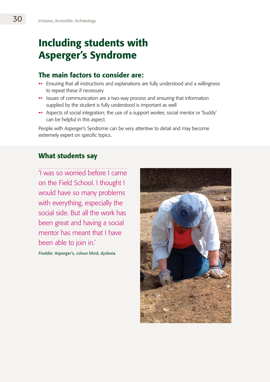# Including students with Asperger's Syndrome

## The main factors to consider are:

- $\rightarrow$  Ensuring that all instructions and explanations are fully understood and a willingness to repeat these if necessary
- $\rightarrow$  Issues of communication are a two-way process and ensuring that information supplied by the student is fully understood is important as well
- $\rightarrow$  Aspects of social integration; the use of a support worker, social mentor or 'buddy' can be helpful in this aspect.

People with Asperger's Syndrome can be very attentive to detail and may become extremely expert on specific topics.

## What students say

'I was so worried before I came

on the Field School. I thought I would have so many problems with everything, especially the social side. But all the work has been great and having a social mentor has meant that I have been able to join in.'

Freddie: Asperger's, colour blind, dyslexia

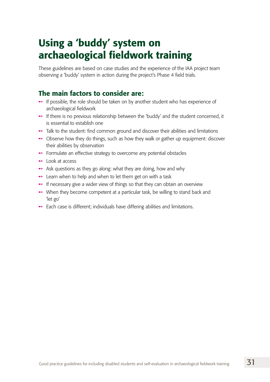# Using a 'buddy' system on archaeological fieldwork training

These guidelines are based on case studies and the experience of the IAA project team observing a 'buddy' system in action during the project's Phase 4 field trials.

## The main factors to consider are:

- $\rightarrow$  If possible, the role should be taken on by another student who has experience of archaeological fieldwork
- $\rightarrow$  If there is no previous relationship between the 'buddy' and the student concerned, it is essential to establish one
- $\rightarrow$  Talk to the student: find common ground and discover their abilities and limitations
- $\rightarrow$  Observe how they do things, such as how they walk or gather up equipment: discover their abilities by observation
- $\rightarrow$  Formulate an effective strategy to overcome any potential obstacles
- $\rightarrow$  Look at access
- $\rightarrow$  Ask questions as they go along: what they are doing, how and why
- $\rightarrow$  Learn when to help and when to let them get on with a task
- $\rightarrow$  If necessary give a wider view of things so that they can obtain an overview
- $\rightarrow$  When they become competent at a particular task, be willing to stand back and 'let go'
- $\rightarrow$  Each case is different; individuals have differing abilities and limitations.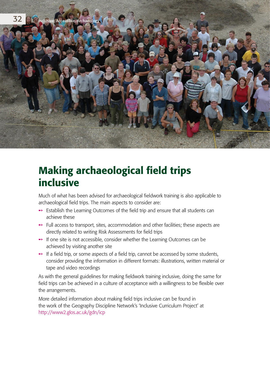

# Making archaeological field trips inclusive

Much of what has been advised for archaeological fieldwork training is also applicable to archaeological field trips. The main aspects to consider are:

- $\rightarrow$  Establish the Learning Outcomes of the field trip and ensure that all students can achieve these
- $\rightarrow$  Full access to transport, sites, accommodation and other facilities; these aspects are directly related to writing Risk Assessments for field trips
- $\rightarrow$  If one site is not accessible, consider whether the Learning Outcomes can be achieved by visiting another site
- $\rightarrow$  If a field trip, or some aspects of a field trip, cannot be accessed by some students, consider providing the information in different formats: illustrations, written material or tape and video recordings

As with the general guidelines for making fieldwork training inclusive, doing the same for field trips can be achieved in a culture of acceptance with a willingness to be flexible over the arrangements.

More detailed information about making field trips inclusive can be found in the work of the Geography Discipline Network's 'Inclusive Curriculum Project' at http://www2.glos.ac.uk/gdn/icp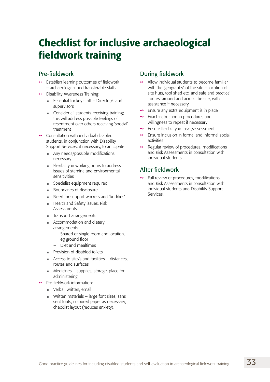# Checklist for inclusive archaeological fieldwork training

### Pre-fieldwork

- Establish learning outcomes of fieldwork – archaeological and transferable skills ˚
- ◆ Disability Awareness Training:
	- Essential for key staff Director/s and supervisors
	- **Consider all students receiving training;** this will address possible feelings of resentment over others receiving 'special' treatment
- $\rightarrow$  Consultation with individual disabled students, in conjunction with Disability Support Services, if necessary, to anticipate:
	- **Any needs/possible modifications** necessary
	- **Flexibility in working hours to address** issues of stamina and environmental sensitivities
	- Specialist equipment required n
	- Boundaries of disclosure n
	- Need for support workers and 'buddies' n
	- **Health and Safety issues, Risk** Assessments
	- **Transport arrangements**
	- Accommodation and dietary arrangements: n
		- Shared or single room and location, eg ground floor –
		- Diet and mealtimes –
	- Provision of disabled toilets
	- Access to site/s and facilities distances, routes and surfaces n
	- Medicines supplies, storage, place for administering
- Pre-fieldwork information: ˚
	- Verbal, written, email n
	- Written materials large font sizes, sans serif fonts, coloured paper as necessary; checklist layout (reduces anxiety).

### During fieldwork

- $\rightarrow$  Allow individual students to become familiar with the 'geography' of the site – location of site huts, tool shed etc, and safe and practical 'routes' around and across the site; with assistance if necessary
- $\rightarrow$  Ensure any extra equipment is in place
- $\rightarrow$  Exact instruction in procedures and willingness to repeat if necessary
- ◆ Ensure flexibility in tasks/assessment
- $\rightarrow$  Ensure inclusion in formal and informal social activities
- $\rightarrow$  Regular review of procedures, modifications and Risk Assessments in consultation with individual students.

## After fieldwork

 $\rightarrow$  Full review of procedures, modifications and Risk Assessments in consultation with individual students and Disability Support Services.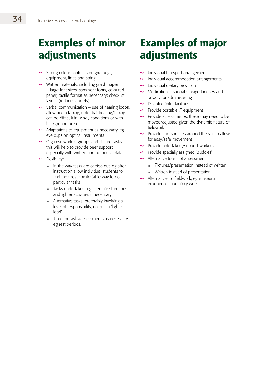# Examples of minor adjustments

- Strong colour contrasts on grid pegs, equipment, lines and string ˚
- $\rightarrow$  Written materials, including graph paper – large font sizes, sans serif fonts, coloured paper, tactile format as necessary; checklist layout (reduces anxiety)
- Verbal communication use of hearing loops, allow audio taping, note that hearing/taping can be difficult in windy conditions or with background noise ˚
- $\rightarrow$  Adaptations to equipment as necessary, eg eye cups on optical instruments
- Organise work in groups and shared tasks; this will help to provide peer support especially with written and numerical data  $\rightarrow$
- $\rightarrow$  Flexibility:
	- In the way tasks are carried out, eg after instruction allow individual students to find the most comfortable way to do particular tasks n
	- Tasks undertaken, eg alternate strenuous and lighter activities if necessary n
	- Alternative tasks, preferably involving a level of responsibility, not just a 'lighter load' n
	- Time for tasks/assessments as necessary, eg rest periods. n

# Examples of major adjustments

- Individual transport arrangements ˚
- Individual accommodation arrangements ˚
- Individual dietary provision ˚
- Medication special storage facilities and privacy for administering ˚
- $\rightarrow$  Disabled toilet facilities
- Provide portable IT equipment ˚
- $\rightarrow$  Provide access ramps, these may need to be moved/adjusted given the dynamic nature of fieldwork
- $\rightarrow$  Provide firm surfaces around the site to allow for easy/safe movement
- ◆ Provide note takers/support workers
- $\rightarrow$  Provide specially assigned 'Buddies'
- **→** Alternative forms of assessment
	- Pictures/presentation instead of written n
	- Written instead of presentation n
- $\rightarrow$  Alternatives to fieldwork, eg museum experience, laboratory work.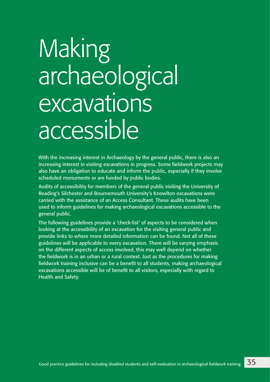# Making archaeological excavations accessible

With the increasing interest in Archaeology by the general public, there is also an increasing interest in visiting excavations in progress. Some fieldwork projects may also have an obligation to educate and inform the public, especially if they involve scheduled monuments or are funded by public bodies.

Audits of accessibility for members of the general public visiting the University of Reading's Silchester and Bournemouth University's Knowlton excavations were carried with the assistance of an Access Consultant. These audits have been used to inform guidelines for making archaeological excavations accessible to the general public.

The following guidelines provide a 'check-list' of aspects to be considered when looking at the accessibility of an excavation for the visiting general public and provide links to where more detailed information can be found. Not all of these guidelines will be applicable to every excavation. There will be varying emphasis on the different aspects of access involved, this may well depend on whether the fieldwork is in an urban or a rural context. Just as the procedures for making fieldwork training inclusive can be a benefit to all students, making archaeological excavations accessible will be of benefit to all visitors, especially with regard to Health and Safety.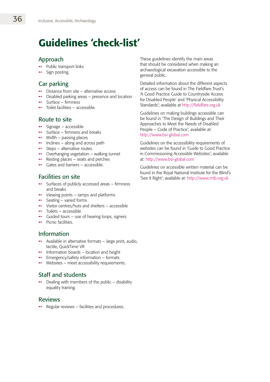# Guidelines 'check-list'

## Approach

- $\rightarrow$  Public transport links
- Sign posting. ˚

## Car parking

- $\rightarrow$  Distance from site alternative access
- $\rightarrow$  Disabled parking areas presence and location
- $\rightarrow$  Surface firmness
- $\rightarrow$  Toilet facilities accessible.

#### Route to site

- $\rightarrow$  Signage accessible
- $\rightarrow$  Surface firmness and breaks
- $\rightarrow$  Width passing places
- $\rightarrow$  Inclines along and across path
- $\rightarrow$  Steps alternative routes
- $\rightarrow$  Overhanging vegetation walking tunnel
- $\rightarrow$  Resting places seats and perches
- $\rightarrow$  Gates and barriers accessible.

### Facilities on site

- Surfaces of publicly accessed areas firmness and breaks ˚
- $\rightarrow$  Viewing points ramps and platforms
- $\rightarrow$  Seating varied forms
- $\rightarrow$  Visitor centres/huts and shelters accessible
- $\rightarrow$  Toilets accessible
- $\rightarrow$  Guided tours use of hearing loops, signers
- $\rightarrow$  Picnic facilities.

## Information

- $\rightarrow$  Available in alternative formats large print, audio, tactile, QuickTime VR
- $\rightarrow$  Information boards location and height
- $\rightarrow$  Emergency/safety information formats
- $\rightarrow$  Websites meet accessibility requirements.

## Staff and students

 $\rightarrow$  Dealing with members of the public – disability equality training.

### Reviews

 $\rightarrow$  Regular reviews – facilities and procedures.

These guidelines identify the main areas that should be considered when making an archaeological excavation accessible to the general public.

Detailed information about the different aspects of access can be found in The Fieldfare Trust's 'A Good Practice Guide to Countryside Access for Disabled People' and 'Physical Accessibility Standards'; available at http://fieldfare.org.uk

Guidelines on making buildings accessible can be found in 'The Design of Buildings and Their Approaches to Meet the Needs of Disabled People – Code of Practice'; available at: http://www.bsi-global.com

Guidelines on the accessibility requirements of websites can be found in 'Guide to Good Practice in Commissioning Accessible Websites'; available at: http://www.bsi-global.com

Guidelines on accessible written material can be found in the Royal National Institute for the Blind's 'See It Right'; available at: http://www.rnib.org.uk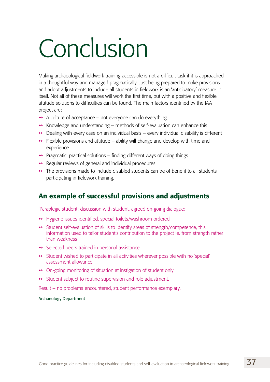# Conclusion

Making archaeological fieldwork training accessible is not a difficult task if it is approached in a thoughtful way and managed pragmatically. Just being prepared to make provisions and adopt adjustments to include all students in fieldwork is an 'anticipatory' measure in itself. Not all of these measures will work the first time, but with a positive and flexible attitude solutions to difficulties can be found. The main factors identified by the IAA project are:

- $\rightarrow$  A culture of acceptance not everyone can do everything
- $\rightarrow$  Knowledge and understanding methods of self-evaluation can enhance this
- $\rightarrow$  Dealing with every case on an individual basis every individual disability is different
- $\rightarrow$  Flexible provisions and attitude ability will change and develop with time and experience
- $\rightarrow$  Pragmatic, practical solutions finding different ways of doing things
- $\rightarrow$  Regular reviews of general and individual procedures.
- $\rightarrow$  The provisions made to include disabled students can be of benefit to all students participating in fieldwork training.

## An example of successful provisions and adjustments

'Paraplegic student: discussion with student, agreed on-going dialogue:

- ◆ Hygiene issues identified, special toilets/washroom ordered
- $\rightarrow$  Student self-evaluation of skills to identify areas of strength/competence, this information used to tailor student's contribution to the project ie. from strength rather than weakness
- $\rightarrow$  Selected peers trained in personal assistance
- $\rightarrow$  Student wished to participate in all activities wherever possible with no 'special' assessment allowance
- On-going monitoring of situation at instigation of student only
- $\rightarrow$  Student subject to routine supervision and role adjustment.

Result – no problems encountered, student performance exemplary.'

#### Archaeology Department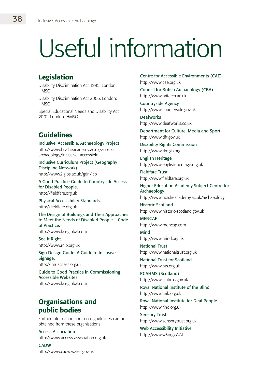# Useful information

## Legislation

Disability Discrimination Act 1995. London: HMSO.

Disability Discrimination Act 2005. London: HMSO.

Special Educational Needs and Disability Act 2001. London: HMSO.

## Guidelines

Inclusive, Accessible, Archaeology Project http://www.hca.heacademy.ac.uk/accessarchaeology/inclusive\_accessible

Inclusive Curriculum Project (Geography Discipline Network). http://www2.glos.ac.uk/gdn/icp

A Good Practice Guide to Countryside Access for Disabled People. http://fieldfare.org.uk

Physical Accessibility Standards. http://fieldfare.org.uk

The Design of Buildings and Their Approaches to Meet the Needs of Disabled People – Code of Practice. http://www.bsi-global.com

See It Right. http://www.rnib.org.uk

Sign Design Guide: A Guide to Inclusive Signage. http://jmuaccess.org.uk

Guide to Good Practice in Commissioning Accessible Websites. http://www.bsi-global.com

## Organisations and public bodies

Further information and more guidelines can be obtained from these organisations:

Access Association

http://www.access-association.org.uk

**CADW** http://www.cadw.wales.gov.uk

Centre for Accessible Environments (CAE) http://www.cae.org.uk

Council for British Archaeology (CBA) http://www.britarch.ac.uk

Countryside Agency http://www.countryside.gov.uk

**Deafworks** http://www.deafworks.co.uk

Department for Culture, Media and Sport http://www.dft.gov.uk

Disability Rights Commission http://www.drc-gb.org

English Heritage http://www.english-heritage.org.uk

Fieldfare Trust http://www.fieldfare.org.uk

Higher Education Academy Subject Centre for Archaeology http://www.hca.heacademy.ac.uk/archaeology

Historic Scotland http://www.historic-scotland.gov.uk

**MENCAP** http://www.mencap.com

Mind http://www.mind.org.uk

National Trust http://www.nationaltrust.org.uk

National Trust for Scotland http://www.nts.org.uk

RCAHMS (Scotland) http://www.rcahms.gov.uk

Royal National Institute of the Blind http://www.rnib.org.uk

Royal National Institute for Deaf People http://www.rind.org.uk

Sensory Trust http://www.sensorytrust.org.uk

Web Accessibility Initiative http://www.w3org/WAI